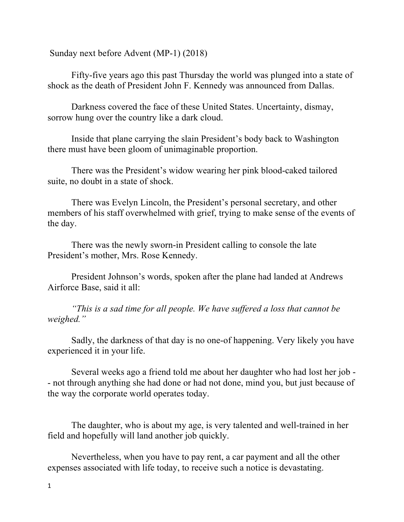Sunday next before Advent (MP-1) (2018)

Fifty-five years ago this past Thursday the world was plunged into a state of shock as the death of President John F. Kennedy was announced from Dallas.

Darkness covered the face of these United States. Uncertainty, dismay, sorrow hung over the country like a dark cloud.

Inside that plane carrying the slain President's body back to Washington there must have been gloom of unimaginable proportion.

There was the President's widow wearing her pink blood-caked tailored suite, no doubt in a state of shock.

There was Evelyn Lincoln, the President's personal secretary, and other members of his staff overwhelmed with grief, trying to make sense of the events of the day.

There was the newly sworn-in President calling to console the late President's mother, Mrs. Rose Kennedy.

President Johnson's words, spoken after the plane had landed at Andrews Airforce Base, said it all:

*"This is a sad time for all people. We have suffered a loss that cannot be weighed."*

Sadly, the darkness of that day is no one-of happening. Very likely you have experienced it in your life.

Several weeks ago a friend told me about her daughter who had lost her job - - not through anything she had done or had not done, mind you, but just because of the way the corporate world operates today.

The daughter, who is about my age, is very talented and well-trained in her field and hopefully will land another job quickly.

Nevertheless, when you have to pay rent, a car payment and all the other expenses associated with life today, to receive such a notice is devastating.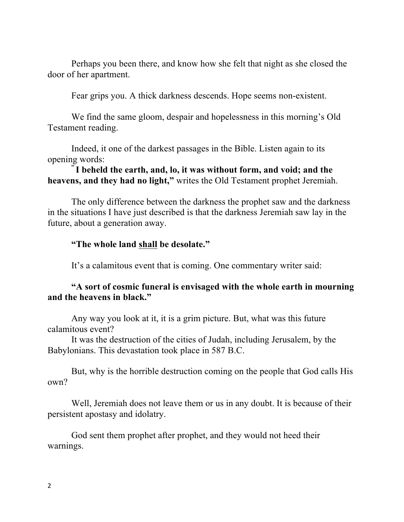Perhaps you been there, and know how she felt that night as she closed the door of her apartment.

Fear grips you. A thick darkness descends. Hope seems non-existent.

We find the same gloom, despair and hopelessness in this morning's Old Testament reading.

Indeed, it one of the darkest passages in the Bible. Listen again to its opening words: **" I beheld the earth, and, lo, it was without form, and void; and the** 

**heavens, and they had no light,"** writes the Old Testament prophet Jeremiah.

The only difference between the darkness the prophet saw and the darkness in the situations I have just described is that the darkness Jeremiah saw lay in the future, about a generation away.

## **"The whole land shall be desolate."**

It's a calamitous event that is coming. One commentary writer said:

## **"A sort of cosmic funeral is envisaged with the whole earth in mourning and the heavens in black."**

Any way you look at it, it is a grim picture. But, what was this future calamitous event?

It was the destruction of the cities of Judah, including Jerusalem, by the Babylonians. This devastation took place in 587 B.C.

But, why is the horrible destruction coming on the people that God calls His own?

Well, Jeremiah does not leave them or us in any doubt. It is because of their persistent apostasy and idolatry.

God sent them prophet after prophet, and they would not heed their warnings.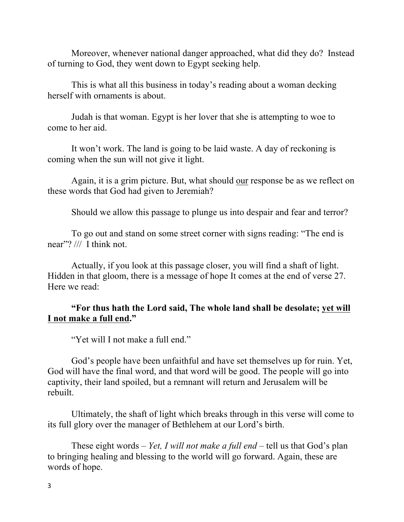Moreover, whenever national danger approached, what did they do? Instead of turning to God, they went down to Egypt seeking help.

This is what all this business in today's reading about a woman decking herself with ornaments is about.

Judah is that woman. Egypt is her lover that she is attempting to woe to come to her aid.

It won't work. The land is going to be laid waste. A day of reckoning is coming when the sun will not give it light.

Again, it is a grim picture. But, what should our response be as we reflect on these words that God had given to Jeremiah?

Should we allow this passage to plunge us into despair and fear and terror?

To go out and stand on some street corner with signs reading: "The end is near"? /// I think not.

Actually, if you look at this passage closer, you will find a shaft of light. Hidden in that gloom, there is a message of hope It comes at the end of verse 27. Here we read:

## **"For thus hath the Lord said, The whole land shall be desolate; yet will I not make a full end."**

"Yet will I not make a full end."

God's people have been unfaithful and have set themselves up for ruin. Yet, God will have the final word, and that word will be good. The people will go into captivity, their land spoiled, but a remnant will return and Jerusalem will be rebuilt.

Ultimately, the shaft of light which breaks through in this verse will come to its full glory over the manager of Bethlehem at our Lord's birth.

These eight words – *Yet, I will not make a full end* – tell us that God's plan to bringing healing and blessing to the world will go forward. Again, these are words of hope.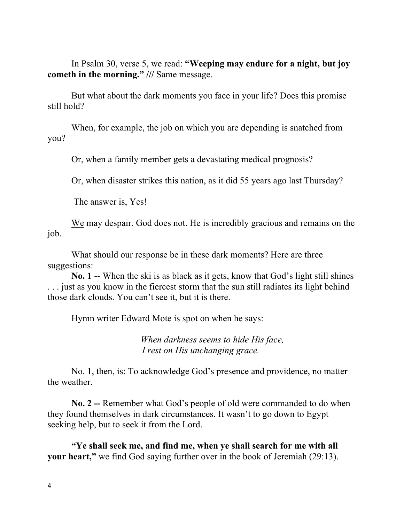In Psalm 30, verse 5, we read: **"Weeping may endure for a night, but joy cometh in the morning." ///** Same message.

But what about the dark moments you face in your life? Does this promise still hold?

When, for example, the job on which you are depending is snatched from you?

Or, when a family member gets a devastating medical prognosis?

Or, when disaster strikes this nation, as it did 55 years ago last Thursday?

The answer is, Yes!

We may despair. God does not. He is incredibly gracious and remains on the job.

What should our response be in these dark moments? Here are three suggestions:

**No. 1** -- When the ski is as black as it gets, know that God's light still shines . . . just as you know in the fiercest storm that the sun still radiates its light behind those dark clouds. You can't see it, but it is there.

Hymn writer Edward Mote is spot on when he says:

 *When darkness seems to hide His face, I rest on His unchanging grace.*

No. 1, then, is: To acknowledge God's presence and providence, no matter the weather.

**No. 2 --** Remember what God's people of old were commanded to do when they found themselves in dark circumstances. It wasn't to go down to Egypt seeking help, but to seek it from the Lord.

**"Ye shall seek me, and find me, when ye shall search for me with all your heart,"** we find God saying further over in the book of Jeremiah (29:13).